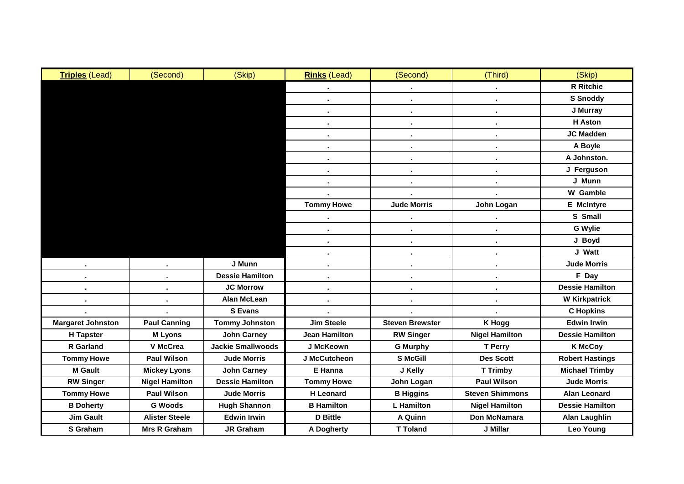| <b>Triples (Lead)</b>    | (Second)              | (Skip)                   | <b>Rinks (Lead)</b>  | (Second)               | (Third)                | (Skip)                 |
|--------------------------|-----------------------|--------------------------|----------------------|------------------------|------------------------|------------------------|
|                          |                       |                          |                      |                        |                        | <b>R</b> Ritchie       |
|                          |                       |                          | ٠                    | $\blacksquare$         | $\blacksquare$         | <b>S</b> Snoddy        |
|                          |                       |                          | $\bullet$            | $\blacksquare$         | $\blacksquare$         | J Murray               |
|                          |                       |                          | $\blacksquare$       | ٠.                     | $\blacksquare$         | <b>H</b> Aston         |
|                          |                       |                          | ٠                    |                        | $\blacksquare$         | <b>JC Madden</b>       |
|                          |                       |                          | ٠                    |                        | $\blacksquare$         | A Boyle                |
|                          |                       |                          | $\blacksquare$       |                        | ä,                     | A Johnston.            |
|                          |                       |                          | $\sim$               | ٠.                     | $\blacksquare$         | J Ferguson             |
|                          |                       |                          | $\blacksquare$       |                        |                        | J Munn                 |
|                          |                       |                          |                      |                        |                        | <b>W</b> Gamble        |
|                          |                       |                          | <b>Tommy Howe</b>    | <b>Jude Morris</b>     | John Logan             | <b>E</b> McIntyre      |
|                          |                       |                          |                      |                        |                        | S Small                |
|                          |                       |                          | $\blacksquare$       | $\blacksquare$         | $\blacksquare$         | <b>G</b> Wylie         |
|                          |                       |                          | $\blacksquare$       | $\blacksquare$         | $\blacksquare$         | J Boyd                 |
|                          |                       |                          |                      |                        |                        | J Watt                 |
|                          |                       | J Munn                   | ٠                    |                        | $\blacksquare$         | <b>Jude Morris</b>     |
|                          |                       | <b>Dessie Hamilton</b>   |                      |                        | $\blacksquare$         | F Day                  |
|                          |                       | <b>JC Morrow</b>         | $\blacksquare$       | $\blacksquare$         | $\blacksquare$         | <b>Dessie Hamilton</b> |
| ٠                        | ٠                     | <b>Alan McLean</b>       | $\blacksquare$       | ٠.                     | $\blacksquare$         | <b>W Kirkpatrick</b>   |
|                          |                       | <b>S</b> Evans           |                      |                        |                        | <b>C</b> Hopkins       |
| <b>Margaret Johnston</b> | <b>Paul Canning</b>   | <b>Tommy Johnston</b>    | <b>Jim Steele</b>    | <b>Steven Brewster</b> | <b>K Hogg</b>          | <b>Edwin Irwin</b>     |
| <b>H</b> Tapster         | <b>M</b> Lyons        | <b>John Carney</b>       | <b>Jean Hamilton</b> | <b>RW Singer</b>       | <b>Nigel Hamilton</b>  | <b>Dessie Hamilton</b> |
| R Garland                | V McCrea              | <b>Jackie Smallwoods</b> | J McKeown            | <b>G Murphy</b>        | <b>T</b> Perry         | <b>K McCoy</b>         |
| <b>Tommy Howe</b>        | <b>Paul Wilson</b>    | <b>Jude Morris</b>       | J McCutcheon         | <b>S McGill</b>        | <b>Des Scott</b>       | <b>Robert Hastings</b> |
| <b>M</b> Gault           | <b>Mickey Lyons</b>   | <b>John Carney</b>       | E Hanna              | J Kelly                | <b>T Trimby</b>        | <b>Michael Trimby</b>  |
| <b>RW Singer</b>         | <b>Nigel Hamilton</b> | <b>Dessie Hamilton</b>   | <b>Tommy Howe</b>    | John Logan             | <b>Paul Wilson</b>     | <b>Jude Morris</b>     |
| <b>Tommy Howe</b>        | <b>Paul Wilson</b>    | <b>Jude Morris</b>       | <b>H</b> Leonard     | <b>B</b> Higgins       | <b>Steven Shimmons</b> | <b>Alan Leonard</b>    |
| <b>B</b> Doherty         | <b>G Woods</b>        | <b>Hugh Shannon</b>      | <b>B</b> Hamilton    | <b>L</b> Hamilton      | <b>Nigel Hamilton</b>  | <b>Dessie Hamilton</b> |
| <b>Jim Gault</b>         | <b>Alister Steele</b> | <b>Edwin Irwin</b>       | <b>D</b> Bittle      | <b>A Quinn</b>         | Don McNamara           | <b>Alan Laughlin</b>   |
| S Graham                 | <b>Mrs R Graham</b>   | <b>JR Graham</b>         | <b>A Dogherty</b>    | <b>T Toland</b>        | J Millar               | <b>Leo Young</b>       |